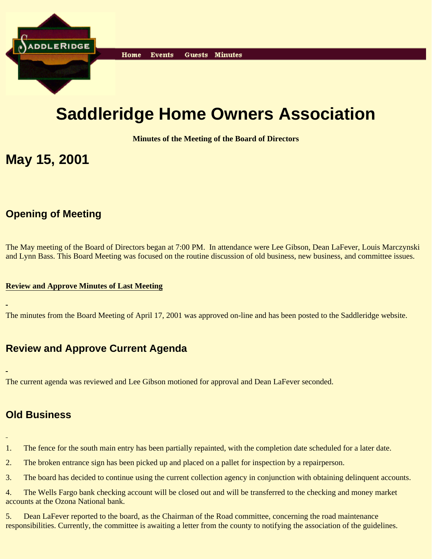

# **Saddleridge Home Owners Association**

**Minutes of the Meeting of the Board of Directors**

## **May 15, 2001**

## **Opening of Meeting**

The May meeting of the Board of Directors began at 7:00 PM. In attendance were Lee Gibson, Dean LaFever, Louis Marczynski and Lynn Bass. This Board Meeting was focused on the routine discussion of old business, new business, and committee issues.

#### **Review and Approve Minutes of Last Meeting**

The minutes from the Board Meeting of April 17, 2001 was approved on-line and has been posted to the Saddleridge website.

## **Review and Approve Current Agenda**

The current agenda was reviewed and Lee Gibson motioned for approval and Dean LaFever seconded.

#### **Old Business**

- 1. The fence for the south main entry has been partially repainted, with the completion date scheduled for a later date.
- 2. The broken entrance sign has been picked up and placed on a pallet for inspection by a repairperson.
- 3. The board has decided to continue using the current collection agency in conjunction with obtaining delinquent accounts.
- 4. The Wells Fargo bank checking account will be closed out and will be transferred to the checking and money market accounts at the Ozona National bank.
- 5. Dean LaFever reported to the board, as the Chairman of the Road committee, concerning the road maintenance responsibilities. Currently, the committee is awaiting a letter from the county to notifying the association of the guidelines.